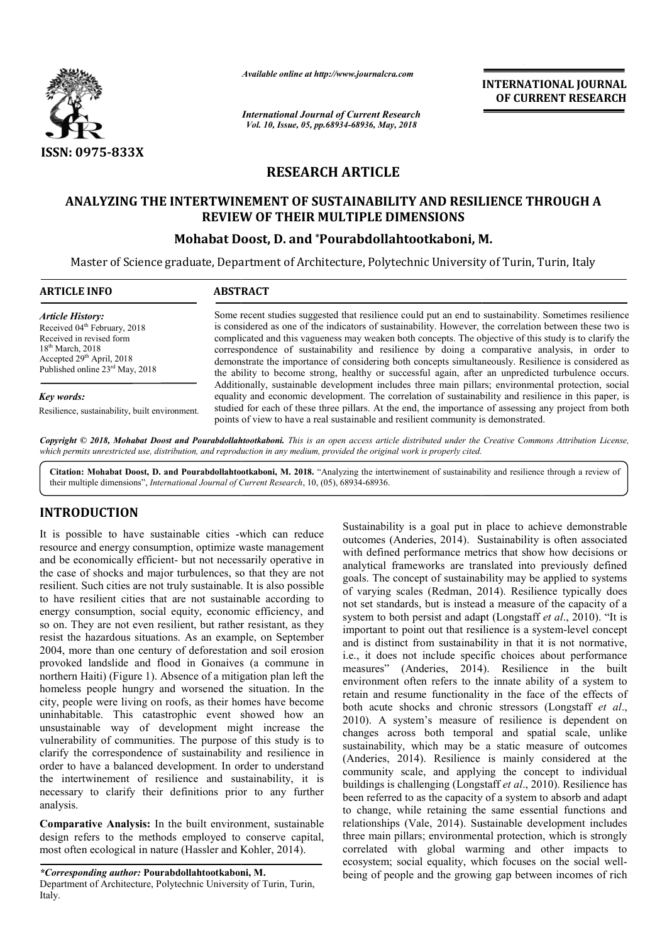

*Available online at http://www.journalcra.com*

*International Journal of Current Research Vol. 10, Issue, 05, pp.68934-68936, May, 2018*

**INTERNATIONAL JOURNAL OF CURRENT RESEARCH**

# **RESEARCH ARTICLE**

### **ANALYZING THE INTERTWINEMENT OF SUSTAINABILITY AND RESILIENCE THROUGH A ANALYZING THE INTERTWINEMENT OF SUSTAINABILITY AND A REVIEW OF THEIR MULTIPLE DIMENSIONS**

## **Mohabat Doost Doost, D. and \*Pourabdollahtootkaboni, M.**

Master of Science graduate, Department of Architecture, Polytechnic University of Turin, Turin, Italy of

| <b>ARTICLE INFO</b>                                                                                                                                                                               | <b>ABSTRACT</b>                                                                                                                                                                                                                                                                                                                                                                                                                                                                                                                                                                                                                                                                                                                                                                                                                                                                                                                                                                                                                                          |
|---------------------------------------------------------------------------------------------------------------------------------------------------------------------------------------------------|----------------------------------------------------------------------------------------------------------------------------------------------------------------------------------------------------------------------------------------------------------------------------------------------------------------------------------------------------------------------------------------------------------------------------------------------------------------------------------------------------------------------------------------------------------------------------------------------------------------------------------------------------------------------------------------------------------------------------------------------------------------------------------------------------------------------------------------------------------------------------------------------------------------------------------------------------------------------------------------------------------------------------------------------------------|
| <b>Article History:</b><br>Received 04 <sup>th</sup> February, 2018<br>Received in revised form<br>$18th$ March, 2018<br>Accepted 29 <sup>th</sup> April, 2018<br>Published online 23rd May, 2018 | Some recent studies suggested that resilience could put an end to sustainability. Sometimes resilience<br>is considered as one of the indicators of sustainability. However, the correlation between these two is<br>complicated and this vagueness may weaken both concepts. The objective of this study is to clarify the<br>correspondence of sustainability and resilience by doing a comparative analysis, in order to<br>demonstrate the importance of considering both concepts simultaneously. Resilience is considered as<br>the ability to become strong, healthy or successful again, after an unpredicted turbulence occurs.<br>Additionally, sustainable development includes three main pillars; environmental protection, social<br>equality and economic development. The correlation of sustainability and resilience in this paper, is<br>studied for each of these three pillars. At the end, the importance of assessing any project from both<br>points of view to have a real sustainable and resilient community is demonstrated. |
| Key words:<br>Resilience, sustainability, built environment.                                                                                                                                      |                                                                                                                                                                                                                                                                                                                                                                                                                                                                                                                                                                                                                                                                                                                                                                                                                                                                                                                                                                                                                                                          |

Copyright © 2018, Mohabat Doost and Pourabdollahtootkaboni. This is an open access article distributed under the Creative Commons Attribution License, which permits unrestricted use, distribution, and reproduction in any medium, provided the original work is properly cited.

Citation: Mohabat Doost, D. and Pourabdollahtootkaboni, M. 2018. "Analyzing the intertwinement of sustainability and resilience through a review of their multiple dimensions", *International Journal of Current Research* , 10, (05), 68934-68936.

#### **INTRODUCTION**

It is possible to have sustainable cities -which can reduce resource and energy consumption, optimize waste management and be economically efficient- but not necessarily operative in the case of shocks and major turbulences, so that they are not resilient. Such cities are not truly sustainable. It is also possible to have resilient cities that are not sustainable according to energy consumption, social equity, economic efficiency, and so on. They are not even resilient, but rather resistant, as they resist the hazardous situations. As an example, on September 2004, more than one century of deforestation and soil erosion provoked landslide and flood in Gonaives (a commune northern Haiti) (Figure 1). Absence of a mitigation plan left the homeless people hungry and worsened the situation. In the city, people were living on roofs, as their homes have become uninhabitable. This catastrophic event showed how an unsustainable way of development might increase the vulnerability of communities. The purpose of this study is to clarify the correspondence of sustainability and resilience in order to have a balanced development. In order to understand the intertwinement of resilience and sustainability, it is necessary to clarify their definitions prior to any further analysis. which can reduce<br>waste management<br>ssarily operative in<br>o that they are not<br>. It is also possible<br>hable according to<br>nic efficiency, and<br>r resistant, as they<br>ple, on September<br>on and soil erosion<br>s (a commune in gry and worsened the situation. In the<br>ng on roofs, as their homes have become<br>catastrophic event showed how an<br>of development might increase the<br>nunities. The purpose of this study is to

**Comparative Analysis:** In the built environment, sustainable design refers to the methods employed to conserve capital, most often ecological in nature (Hassler and Kohler, 2014).

*\*Corresponding author:* **Pourabdollahtootkaboni, M.** Department of Architecture, Polytechnic University of Turin, Turin, Italy.

Sustainability is a goal put in place to achieve demonstrable outcomes (Anderies, 2014). Sustainability is often associated with defined performance metrics that show how decisions or analytical frameworks are translated into previously defined goals. The concept of sustainability may be applied to systems of varying scales (Redman, 2014 not set standards, but is instead a measure of the capacity of a not set standards, but is instead a measure of the capacity of a system to both persist and adapt (Longstaff *et al.*, 2010). "It is important to point out that resilience is a system-level concept and is distinct from sustainability in that it is not normative, i.e., it does not include specific choices about performance measures" (Anderies, 2014). Resilience in the built environment often refers to the innate ability of a system to retain and resume functionality in the face of the effects of both acute shocks and chronic stressors (Longstaff et al., 2010). A system's measure of resilience is dependent on changes across both temporal and spatial scale, unlike sustainability, which may be a static measure of outcomes (Anderies, 2014). Resilience is mainly considered at the community scale, and applying the concept to individual changes across both temporal and spatial scale, unlike sustainability, which may be a static measure of outcomes (Anderies, 2014). Resilience is mainly considered at the community scale, and applying the concept to individ been referred to as the capacity of a system to absorb and adapt to change, while retaining the same essential functions and relationships (Vale, 2014). Sustainable development includes three main pillars; environmental protection, which is strongly correlated with global warming and other impacts to been referred to as the capacity of a system to absorb and adapt<br>to change, while retaining the same essential functions and<br>relationships (Vale, 2014). Sustainable development includes<br>three main pillars; environmental pr being of people and the growing gap between incomes of rich hability is a goal put in place to achieve demonstrable mes (Anderies, 2014). Sustainability is often associated efined performance metrics that show how decisions or cal frameworks are translated into previously defined T ext from sustainability in that it is not normative,<br>not include specific choices about performance<br>(Anderies, 2014). Resilience in the built refers to the innate ability of a system to functionality in the face of the effects of and chronic stressors (Longstaff *et al.*, **INTERNATIONAL JOURNAL OF CURRENT RESEARCH**<br> **OF CURRENT RESEARCH**<br> **OF CURRENT RESEARCH**<br> **ONI, M.**<br>
versity of Turin, Turin, Turin, Italy<br>
and to sustainability. Sometimes resilience<br>
ever, the correlation between these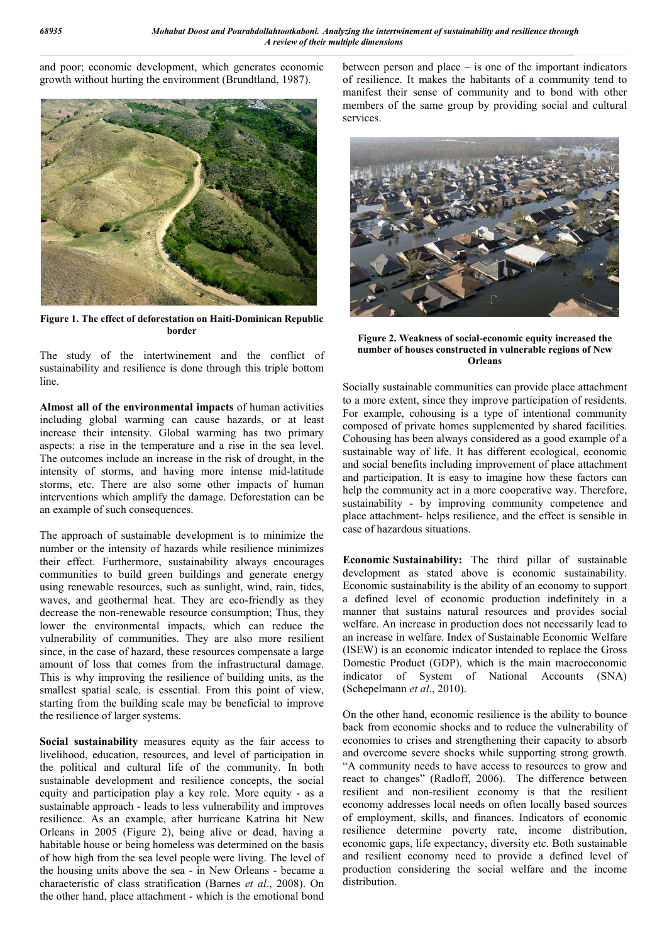and poor; economic development, which generates economic growth without hurting the environment (Brundtland, 1987).



**Figure 1. The effect of deforestation on Haiti-Dominican Republic border**

The study of the intertwinement and the conflict of sustainability and resilience is done through this triple bottom line.

**Almost all of the environmental impacts** of human activities including global warming can cause hazards, or at least increase their intensity. Global warming has two primary aspects: a rise in the temperature and a rise in the sea level. The outcomes include an increase in the risk of drought, in the intensity of storms, and having more intense mid-latitude storms, etc. There are also some other impacts of human interventions which amplify the damage. Deforestation can be an example of such consequences.

The approach of sustainable development is to minimize the number or the intensity of hazards while resilience minimizes their effect. Furthermore, sustainability always encourages communities to build green buildings and generate energy using renewable resources, such as sunlight, wind, rain, tides, waves, and geothermal heat. They are eco-friendly as they decrease the non-renewable resource consumption; Thus, they lower the environmental impacts, which can reduce the vulnerability of communities. They are also more resilient since, in the case of hazard, these resources compensate a large amount of loss that comes from the infrastructural damage. This is why improving the resilience of building units, as the smallest spatial scale, is essential. From this point of view, starting from the building scale may be beneficial to improve the resilience of larger systems.

**Social sustainability** measures equity as the fair access to livelihood, education, resources, and level of participation in the political and cultural life of the community. In both sustainable development and resilience concepts, the social equity and participation play a key role. More equity - as a sustainable approach - leads to less vulnerability and improves resilience. As an example, after hurricane Katrina hit New Orleans in 2005 (Figure 2), being alive or dead, having a habitable house or being homeless was determined on the basis of how high from the sea level people were living. The level of the housing units above the sea - in New Orleans - became a characteristic of class stratification (Barnes *et al*., 2008). On the other hand, place attachment - which is the emotional bond

between person and place – is one of the important indicators of resilience. It makes the habitants of a community tend to manifest their sense of community and to bond with other members of the same group by providing social and cultural services.



**Figure 2. Weakness of social-economic equity increased the number of houses constructed in vulnerable regions of New Orleans**

Socially sustainable communities can provide place attachment to a more extent, since they improve participation of residents. For example, cohousing is a type of intentional community composed of private homes supplemented by shared facilities. Cohousing has been always considered as a good example of a sustainable way of life. It has different ecological, economic and social benefits including improvement of place attachment and participation. It is easy to imagine how these factors can help the community act in a more cooperative way. Therefore, sustainability - by improving community competence and place attachment- helps resilience, and the effect is sensible in case of hazardous situations.

**Economic Sustainability:** The third pillar of sustainable development as stated above is economic sustainability. Economic sustainability is the ability of an economy to support a defined level of economic production indefinitely in a manner that sustains natural resources and provides social welfare. An increase in production does not necessarily lead to an increase in welfare. Index of Sustainable Economic Welfare (ISEW) is an economic indicator intended to replace the Gross Domestic Product (GDP), which is the main macroeconomic indicator of System of National Accounts (SNA) (Schepelmann *et al*., 2010).

On the other hand, economic resilience is the ability to bounce back from economic shocks and to reduce the vulnerability of economies to crises and strengthening their capacity to absorb and overcome severe shocks while supporting strong growth. "A community needs to have access to resources to grow and react to changes" (Radloff, 2006). The difference between resilient and non-resilient economy is that the resilient economy addresses local needs on often locally based sources of employment, skills, and finances. Indicators of economic resilience determine poverty rate, income distribution, economic gaps, life expectancy, diversity etc. Both sustainable and resilient economy need to provide a defined level of production considering the social welfare and the income distribution.